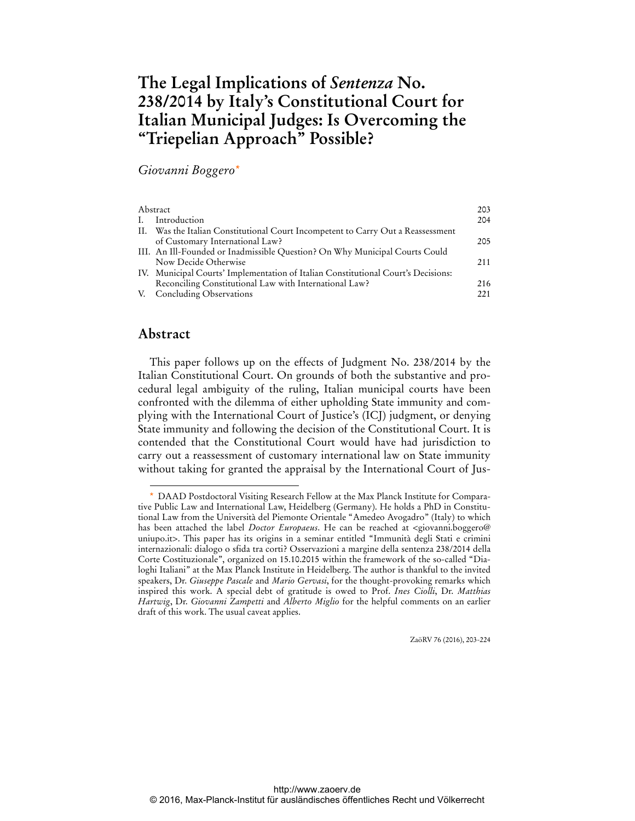# **The Legal Implications of** *Sentenza* **No. 238/2014 by Italy's Constitutional Court for Italian Municipal Judges: Is Overcoming the "Triepelian Approach" Possible?**

### *Giovanni Boggero\**

| Abstract |                                                                                   | 203 |
|----------|-----------------------------------------------------------------------------------|-----|
| Ι.       | Introduction                                                                      | 204 |
|          | II. Was the Italian Constitutional Court Incompetent to Carry Out a Reassessment  |     |
|          | of Customary International Law?                                                   | 205 |
|          | III. An Ill-Founded or Inadmissible Question? On Why Municipal Courts Could       |     |
|          | Now Decide Otherwise                                                              | 211 |
|          | IV. Municipal Courts' Implementation of Italian Constitutional Court's Decisions: |     |
|          | Reconciling Constitutional Law with International Law?                            | 216 |
|          | V. Concluding Observations                                                        | 221 |

### **Abstract**

This paper follows up on the effects of Judgment No. 238/2014 by the Italian Constitutional Court. On grounds of both the substantive and procedural legal ambiguity of the ruling, Italian municipal courts have been confronted with the dilemma of either upholding State immunity and complying with the International Court of Justice's (ICJ) judgment, or denying State immunity and following the decision of the Constitutional Court. It is contended that the Constitutional Court would have had jurisdiction to carry out a reassessment of customary international law on State immunity without taking for granted the appraisal by the International Court of Jus-

ZaöRV 76 (2016), 203-224

 $\overline{a}$ \* DAAD Postdoctoral Visiting Research Fellow at the Max Planck Institute for Comparative Public Law and International Law, Heidelberg (Germany). He holds a PhD in Constitutional Law from the Università del Piemonte Orientale "Amedeo Avogadro" (Italy) to which has been attached the label *Doctor Europaeus*. He can be reached at <giovanni.boggero@ uniupo.it>. This paper has its origins in a seminar entitled "Immunità degli Stati e crimini internazionali: dialogo o sfida tra corti? Osservazioni a margine della sentenza 238/2014 della Corte Costituzionale", organized on 15.10.2015 within the framework of the so-called "Dialoghi Italiani" at the Max Planck Institute in Heidelberg. The author is thankful to the invited speakers, Dr. *Giuseppe Pascale* and *Mario Gervasi*, for the thought-provoking remarks which inspired this work. A special debt of gratitude is owed to Prof. *Ines Ciolli*, Dr. *Matthias Hartwig*, Dr. *Giovanni Zampetti* and *Alberto Miglio* for the helpful comments on an earlier draft of this work. The usual caveat applies.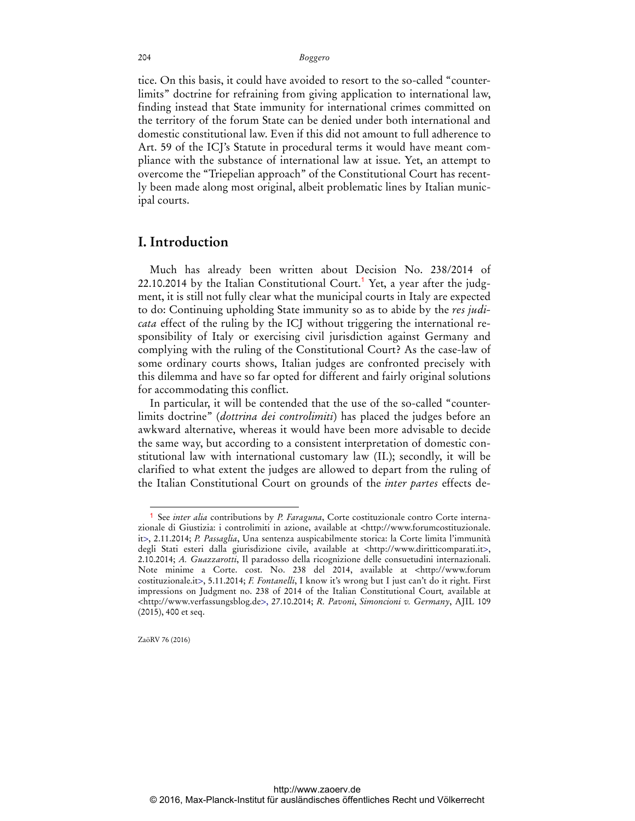tice. On this basis, it could have avoided to resort to the so-called "counterlimits" doctrine for refraining from giving application to international law, finding instead that State immunity for international crimes committed on the territory of the forum State can be denied under both international and domestic constitutional law. Even if this did not amount to full adherence to Art. 59 of the ICJ's Statute in procedural terms it would have meant compliance with the substance of international law at issue. Yet, an attempt to overcome the "Triepelian approach" of the Constitutional Court has recently been made along most original, albeit problematic lines by Italian municipal courts.

## **I. Introduction**

Much has already been written about Decision No. 238/2014 of 22.10.2014 by the Italian Constitutional Court.<sup>1</sup> Yet, a year after the judgment, it is still not fully clear what the municipal courts in Italy are expected to do: Continuing upholding State immunity so as to abide by the *res judicata* effect of the ruling by the ICJ without triggering the international responsibility of Italy or exercising civil jurisdiction against Germany and complying with the ruling of the Constitutional Court? As the case-law of some ordinary courts shows, Italian judges are confronted precisely with this dilemma and have so far opted for different and fairly original solutions for accommodating this conflict.

In particular, it will be contended that the use of the so-called "counterlimits doctrine" (*dottrina dei controlimiti*) has placed the judges before an awkward alternative, whereas it would have been more advisable to decide the same way, but according to a consistent interpretation of domestic constitutional law with international customary law (II.); secondly, it will be clarified to what extent the judges are allowed to depart from the ruling of the Italian Constitutional Court on grounds of the *inter partes* effects de-

ZaöRV 76 (2016)

<sup>1</sup> See *inter alia* contributions by *P. Faraguna*, Corte costituzionale contro Corte internazionale di Giustizia: i controlimiti in azione, available at <[http://www.forumcostituzionale.](http://www.forumcostituzionale.it)  [it>, 2.](http://www.forumcostituzionale.it)11.2014; *P. Passaglia*, Una sentenza auspicabilmente storica: la Corte limita l'immunità degli Stati esteri dalla giurisdizione civile, available at [<http://www.diritticomparati.it>,](http://www.diritticomparati.it)  2.10.2014; *A. Guazzarotti*, Il paradosso della ricognizione delle consuetudini internazionali. Note minime a Corte. cost. No. 238 del 2014, available at [<http://www.forum](http://www.forumcostituzionale.it)  [costituzionale.it>, 5.](http://www.forumcostituzionale.it)11.2014; *F. Fontanelli*, I know it's wrong but I just can't do it right. First impressions on Judgment no. 238 of 2014 of the Italian Constitutional Court*,* available at [<http://www.verfassungsblog.de](http://www.verfassungsblog.de)>, 27.10.2014; *R. Pavoni*, *Simoncioni v. Germany*, AJIL 109 (2015), 400 et seq.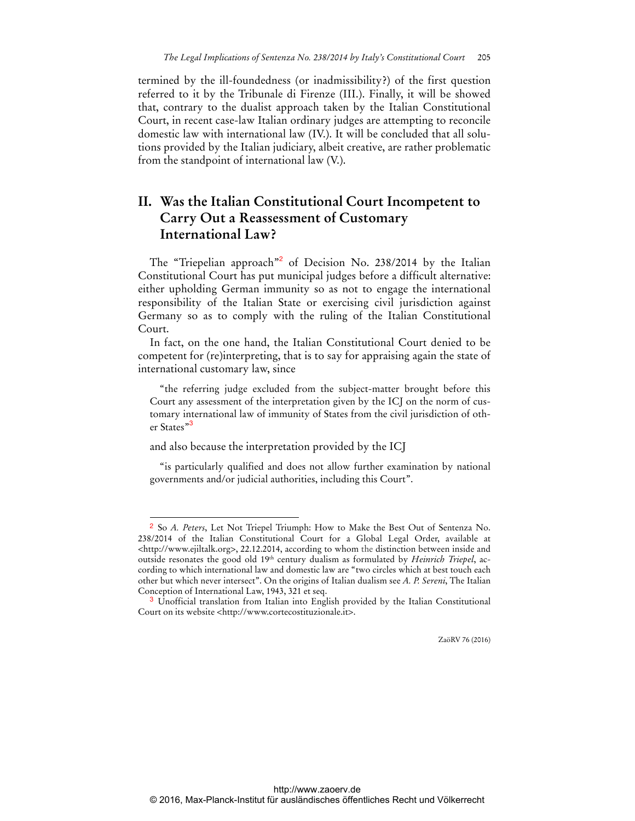termined by the ill-foundedness (or inadmissibility?) of the first question referred to it by the Tribunale di Firenze (III.). Finally, it will be showed that, contrary to the dualist approach taken by the Italian Constitutional Court, in recent case-law Italian ordinary judges are attempting to reconcile domestic law with international law (IV.). It will be concluded that all solutions provided by the Italian judiciary, albeit creative, are rather problematic from the standpoint of international law (V.).

# **II. Was the Italian Constitutional Court Incompetent to Carry Out a Reassessment of Customary International Law?**

The "Triepelian approach"<sup>2</sup> of Decision No. 238/2014 by the Italian Constitutional Court has put municipal judges before a difficult alternative: either upholding German immunity so as not to engage the international responsibility of the Italian State or exercising civil jurisdiction against Germany so as to comply with the ruling of the Italian Constitutional Court.

In fact, on the one hand, the Italian Constitutional Court denied to be competent for (re)interpreting, that is to say for appraising again the state of international customary law, since

"the referring judge excluded from the subject-matter brought before this Court any assessment of the interpretation given by the ICJ on the norm of customary international law of immunity of States from the civil jurisdiction of other States"<sup>3</sup>

and also because the interpretation provided by the ICJ

 $\overline{a}$ 

"is particularly qualified and does not allow further examination by national governments and/or judicial authorities, including this Court".

<sup>2</sup> So *A. Peters*, Let Not Triepel Triumph: How to Make the Best Out of Sentenza No. 238/2014 of the Italian Constitutional Court for a Global Legal Order, available at [<http://www.ejiltalk.org>, 22](http://www.ejiltalk.org).12.2014, according to whom the distinction between inside and outside resonates the good old 19<sup>th</sup> century dualism as formulated by *Heinrich Triepel*, according to which international law and domestic law are "two circles which at best touch each other but which never intersect". On the origins of Italian dualism see *A. P. Sereni*, The Italian Conception of International Law, 1943, 321 et seq.

<sup>3</sup> Unofficial translation from Italian into English provided by the Italian Constitutional Court on its website [<http://www.cortecostituzionale.it>.](http://www.cortecostituzionale.it)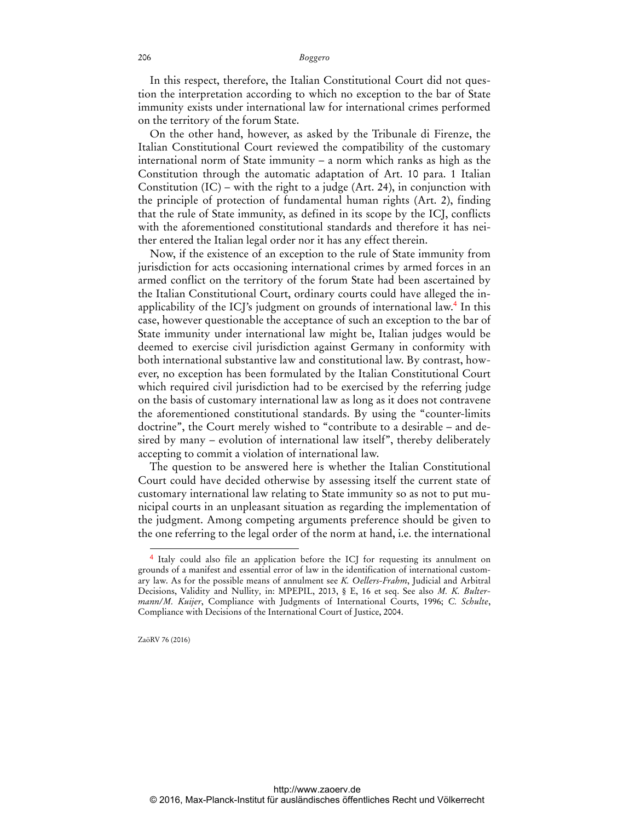In this respect, therefore, the Italian Constitutional Court did not question the interpretation according to which no exception to the bar of State immunity exists under international law for international crimes performed on the territory of the forum State.

On the other hand, however, as asked by the Tribunale di Firenze, the Italian Constitutional Court reviewed the compatibility of the customary international norm of State immunity – a norm which ranks as high as the Constitution through the automatic adaptation of Art. 10 para. 1 Italian Constitution (IC) – with the right to a judge (Art. 24), in conjunction with the principle of protection of fundamental human rights (Art. 2), finding that the rule of State immunity, as defined in its scope by the ICJ, conflicts with the aforementioned constitutional standards and therefore it has neither entered the Italian legal order nor it has any effect therein.

Now, if the existence of an exception to the rule of State immunity from jurisdiction for acts occasioning international crimes by armed forces in an armed conflict on the territory of the forum State had been ascertained by the Italian Constitutional Court, ordinary courts could have alleged the inapplicability of the ICJ's judgment on grounds of international law.<sup>4</sup> In this case, however questionable the acceptance of such an exception to the bar of State immunity under international law might be, Italian judges would be deemed to exercise civil jurisdiction against Germany in conformity with both international substantive law and constitutional law. By contrast, however, no exception has been formulated by the Italian Constitutional Court which required civil jurisdiction had to be exercised by the referring judge on the basis of customary international law as long as it does not contravene the aforementioned constitutional standards. By using the "counter-limits doctrine", the Court merely wished to "contribute to a desirable – and desired by many – evolution of international law itself", thereby deliberately accepting to commit a violation of international law.

The question to be answered here is whether the Italian Constitutional Court could have decided otherwise by assessing itself the current state of customary international law relating to State immunity so as not to put municipal courts in an unpleasant situation as regarding the implementation of the judgment. Among competing arguments preference should be given to the one referring to the legal order of the norm at hand, i.e. the international

ZaöRV 76 (2016)

<sup>4</sup> Italy could also file an application before the ICJ for requesting its annulment on grounds of a manifest and essential error of law in the identification of international customary law. As for the possible means of annulment see *K. Oellers-Frahm*, Judicial and Arbitral Decisions, Validity and Nullity*,* in: MPEPIL, 2013, § E, 16 et seq. See also *M. K. Bultermann/M. Kuijer*, Compliance with Judgments of International Courts, 1996; *C. Schulte*, Compliance with Decisions of the International Court of Justice, 2004.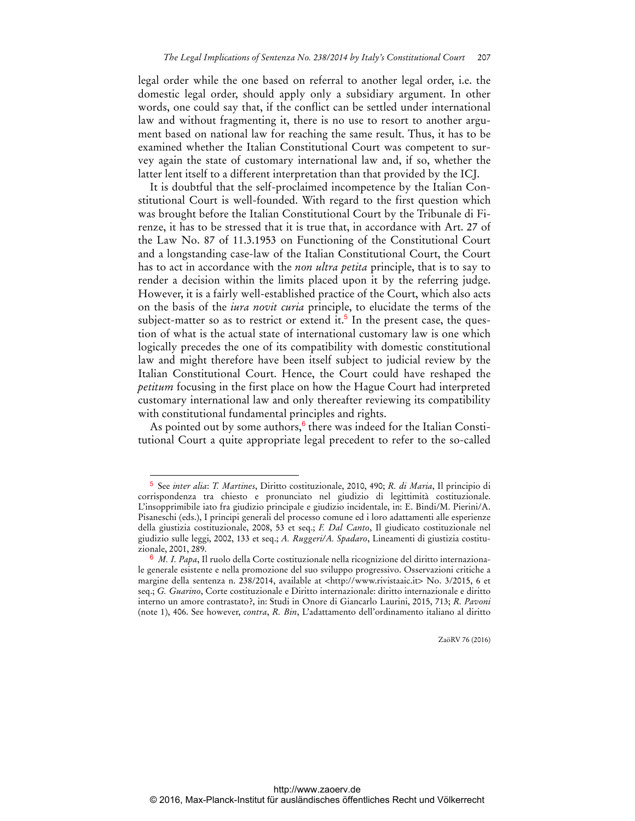legal order while the one based on referral to another legal order, i.e. the domestic legal order, should apply only a subsidiary argument. In other words, one could say that, if the conflict can be settled under international law and without fragmenting it, there is no use to resort to another argument based on national law for reaching the same result. Thus, it has to be examined whether the Italian Constitutional Court was competent to survey again the state of customary international law and, if so, whether the latter lent itself to a different interpretation than that provided by the ICJ.

It is doubtful that the self-proclaimed incompetence by the Italian Constitutional Court is well-founded. With regard to the first question which was brought before the Italian Constitutional Court by the Tribunale di Firenze, it has to be stressed that it is true that, in accordance with Art. 27 of the Law No. 87 of 11.3.1953 on Functioning of the Constitutional Court and a longstanding case-law of the Italian Constitutional Court, the Court has to act in accordance with the *non ultra petita* principle, that is to say to render a decision within the limits placed upon it by the referring judge. However, it is a fairly well-established practice of the Court, which also acts on the basis of the *iura novit curia* principle, to elucidate the terms of the subject-matter so as to restrict or extend it.<sup>5</sup> In the present case, the question of what is the actual state of international customary law is one which logically precedes the one of its compatibility with domestic constitutional law and might therefore have been itself subject to judicial review by the Italian Constitutional Court. Hence, the Court could have reshaped the *petitum* focusing in the first place on how the Hague Court had interpreted customary international law and only thereafter reviewing its compatibility with constitutional fundamental principles and rights.

As pointed out by some authors,<sup>6</sup> there was indeed for the Italian Constitutional Court a quite appropriate legal precedent to refer to the so-called

 $\overline{a}$ 

<sup>5</sup> See *inter alia*: *T. Martines*, Diritto costituzionale, 2010, 490; *R. di Maria*, Il principio di corrispondenza tra chiesto e pronunciato nel giudizio di legittimità costituzionale. L'insopprimibile iato fra giudizio principale e giudizio incidentale, in: E. Bindi/M. Pierini/A. Pisaneschi (eds.), I principi generali del processo comune ed i loro adattamenti alle esperienze della giustizia costituzionale, 2008, 53 et seq.; *F. Dal Canto*, Il giudicato costituzionale nel giudizio sulle leggi, 2002, 133 et seq.; *A. Ruggeri/A. Spadaro*, Lineamenti di giustizia costituzionale, 2001, 289.

<sup>6</sup> *M. I. Papa*, Il ruolo della Corte costituzionale nella ricognizione del diritto internazionale generale esistente e nella promozione del suo sviluppo progressivo. Osservazioni critiche a margine della sentenza n. 238/2014, available at [<http://www.rivistaaic.it>](http://www.rivistaaic.it) No. 3/2015, 6 et seq.; *G. Guarino*, Corte costituzionale e Diritto internazionale: diritto internazionale e diritto interno un amore contrastato?, in: Studi in Onore di Giancarlo Laurini, 2015, 713; *R. Pavoni* (note 1), 406. See however, *contra*, *R. Bin*, L'adattamento dell'ordinamento italiano al diritto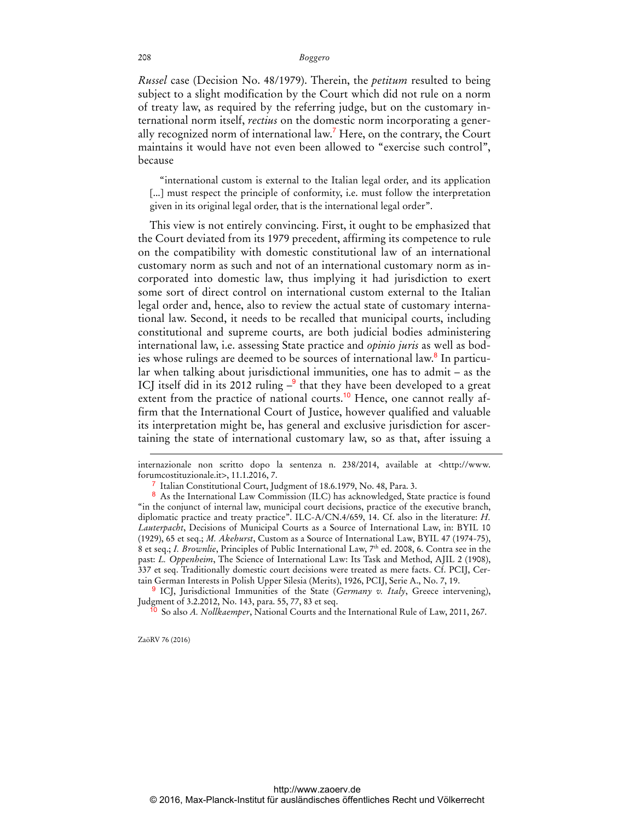*Russel* case (Decision No. 48/1979). Therein, the *petitum* resulted to being subject to a slight modification by the Court which did not rule on a norm of treaty law, as required by the referring judge, but on the customary international norm itself, *rectius* on the domestic norm incorporating a generally recognized norm of international law.<sup>7</sup> Here, on the contrary, the Court maintains it would have not even been allowed to "exercise such control", because

"international custom is external to the Italian legal order, and its application [...] must respect the principle of conformity, i.e. must follow the interpretation given in its original legal order, that is the international legal order".

This view is not entirely convincing. First, it ought to be emphasized that the Court deviated from its 1979 precedent, affirming its competence to rule on the compatibility with domestic constitutional law of an international customary norm as such and not of an international customary norm as incorporated into domestic law, thus implying it had jurisdiction to exert some sort of direct control on international custom external to the Italian legal order and, hence, also to review the actual state of customary international law. Second, it needs to be recalled that municipal courts, including constitutional and supreme courts, are both judicial bodies administering international law, i.e. assessing State practice and *opinio juris* as well as bodies whose rulings are deemed to be sources of international law.<sup>8</sup> In particular when talking about jurisdictional immunities, one has to admit – as the ICJ itself did in its 2012 ruling  $-$ <sup>9</sup> that they have been developed to a great extent from the practice of national courts.<sup>10</sup> Hence, one cannot really affirm that the International Court of Justice, however qualified and valuable its interpretation might be, has general and exclusive jurisdiction for ascertaining the state of international customary law, so as that, after issuing a

9 ICJ, Jurisdictional Immunities of the State (*Germany v. Italy*, Greece intervening), Judgment of 3.2.2012, No. 143, para. 55, 77, 83 et seq.

10 So also *A. Nollkaemper*, National Courts and the International Rule of Law, 2011, 267.

ZaöRV 76 (2016)

internazionale non scritto dopo la sentenza n. 238/2014, available at <[http://www.](http://www.forumcostituzionale.it)  [forumcostituzionale.it>, 11](http://www.forumcostituzionale.it).1.2016, 7.

<sup>7</sup> Italian Constitutional Court, Judgment of 18.6.1979, No. 48, Para. 3.

<sup>8</sup> As the International Law Commission (ILC) has acknowledged, State practice is found "in the conjunct of internal law, municipal court decisions, practice of the executive branch, diplomatic practice and treaty practice". ILC-A/CN.4/659, 14. Cf. also in the literature: *H. Lauterpacht*, Decisions of Municipal Courts as a Source of International Law, in: BYIL 10 (1929), 65 et seq.; *M. Akehurst*, Custom as a Source of International Law, BYIL 47 (1974-75), 8 et seq.; *I. Brownlie*, Principles of Public International Law, 7<sup>th</sup> ed. 2008, 6. Contra see in the past: *L. Oppenheim*, The Science of International Law: Its Task and Method, AJIL 2 (1908), 337 et seq. Traditionally domestic court decisions were treated as mere facts. Cf. PCIJ, Certain German Interests in Polish Upper Silesia (Merits), 1926, PCIJ, Serie A., No. 7, 19.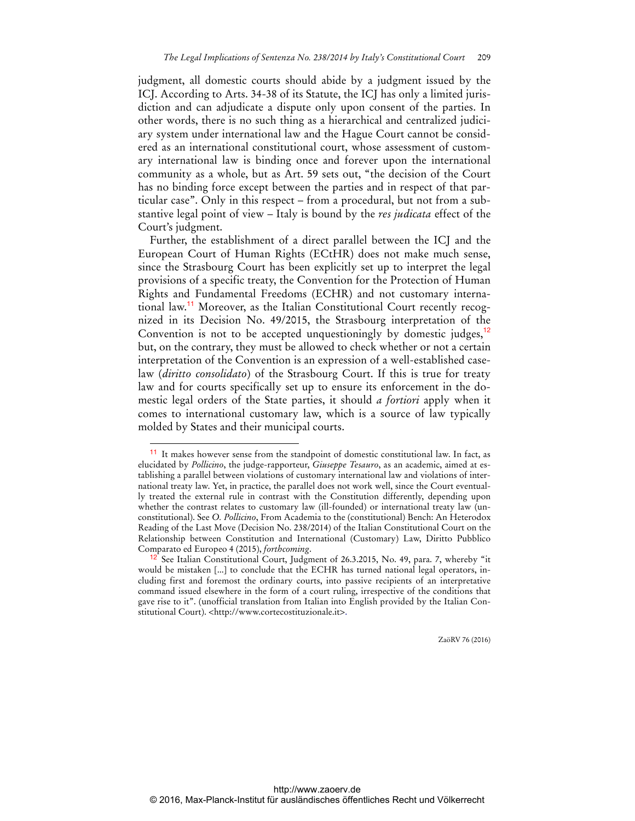judgment, all domestic courts should abide by a judgment issued by the ICJ. According to Arts. 34-38 of its Statute, the ICJ has only a limited jurisdiction and can adjudicate a dispute only upon consent of the parties. In other words, there is no such thing as a hierarchical and centralized judiciary system under international law and the Hague Court cannot be considered as an international constitutional court, whose assessment of customary international law is binding once and forever upon the international community as a whole, but as Art. 59 sets out, "the decision of the Court has no binding force except between the parties and in respect of that particular case". Only in this respect – from a procedural, but not from a substantive legal point of view – Italy is bound by the *res judicata* effect of the Court's judgment.

Further, the establishment of a direct parallel between the ICJ and the European Court of Human Rights (ECtHR) does not make much sense, since the Strasbourg Court has been explicitly set up to interpret the legal provisions of a specific treaty, the Convention for the Protection of Human Rights and Fundamental Freedoms (ECHR) and not customary international law.<sup>11</sup> Moreover, as the Italian Constitutional Court recently recognized in its Decision No. 49/2015, the Strasbourg interpretation of the Convention is not to be accepted unquestioningly by domestic judges, $12$ but, on the contrary, they must be allowed to check whether or not a certain interpretation of the Convention is an expression of a well-established caselaw (*diritto consolidato*) of the Strasbourg Court. If this is true for treaty law and for courts specifically set up to ensure its enforcement in the domestic legal orders of the State parties, it should *a fortiori* apply when it comes to international customary law, which is a source of law typically molded by States and their municipal courts.

 $\overline{a}$ 

<sup>11</sup> It makes however sense from the standpoint of domestic constitutional law. In fact, as elucidated by *Pollicino*, the judge-rapporteur, *Giuseppe Tesauro*, as an academic, aimed at establishing a parallel between violations of customary international law and violations of international treaty law. Yet, in practice, the parallel does not work well, since the Court eventually treated the external rule in contrast with the Constitution differently, depending upon whether the contrast relates to customary law (ill-founded) or international treaty law (unconstitutional). See *O. Pollicino*, From Academia to the (constitutional) Bench: An Heterodox Reading of the Last Move (Decision No. 238/2014) of the Italian Constitutional Court on the Relationship between Constitution and International (Customary) Law, Diritto Pubblico Comparato ed Europeo 4 (2015), *forthcoming*.

<sup>&</sup>lt;sup>12</sup> See Italian Constitutional Court, Judgment of 26.3.2015, No. 49, para. 7, whereby "it would be mistaken [...] to conclude that the ECHR has turned national legal operators, including first and foremost the ordinary courts, into passive recipients of an interpretative command issued elsewhere in the form of a court ruling, irrespective of the conditions that gave rise to it". (unofficial translation from Italian into English provided by the Italian Constitutional Court). [<http://www.cortecostituzionale.it>.](http://www.cortecostituzionale.it)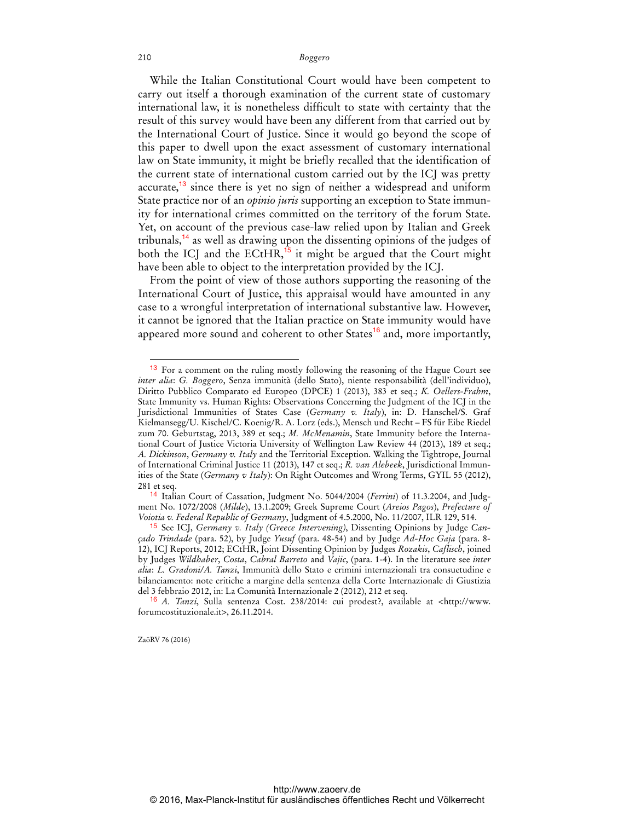While the Italian Constitutional Court would have been competent to carry out itself a thorough examination of the current state of customary international law, it is nonetheless difficult to state with certainty that the result of this survey would have been any different from that carried out by the International Court of Justice. Since it would go beyond the scope of this paper to dwell upon the exact assessment of customary international law on State immunity, it might be briefly recalled that the identification of the current state of international custom carried out by the ICJ was pretty accurate, $13$  since there is yet no sign of neither a widespread and uniform State practice nor of an *opinio juris* supporting an exception to State immunity for international crimes committed on the territory of the forum State. Yet, on account of the previous case-law relied upon by Italian and Greek tribunals,<sup>14</sup> as well as drawing upon the dissenting opinions of the judges of both the ICJ and the ECtHR, $15$  it might be argued that the Court might have been able to object to the interpretation provided by the ICJ.

From the point of view of those authors supporting the reasoning of the International Court of Justice, this appraisal would have amounted in any case to a wrongful interpretation of international substantive law. However, it cannot be ignored that the Italian practice on State immunity would have appeared more sound and coherent to other States<sup>16</sup> and, more importantly,

ZaöRV 76 (2016)

<sup>&</sup>lt;sup>13</sup> For a comment on the ruling mostly following the reasoning of the Hague Court see *inter alia*: *G. Boggero*, Senza immunità (dello Stato), niente responsabilità (dell'individuo), Diritto Pubblico Comparato ed Europeo (DPCE) 1 (2013), 383 et seq.; *K. Oellers-Frahm*, State Immunity vs. Human Rights: Observations Concerning the Judgment of the ICJ in the Jurisdictional Immunities of States Case (*Germany v. Italy*), in: D. Hanschel/S. Graf Kielmansegg/U. Kischel/C. Koenig/R. A. Lorz (eds.), Mensch und Recht – FS für Eibe Riedel zum 70. Geburtstag, 2013, 389 et seq.; *M. McMenamin*, State Immunity before the International Court of Justice Victoria University of Wellington Law Review 44 (2013), 189 et seq.; *A. Dickinson*, *Germany v. Italy* and the Territorial Exception. Walking the Tightrope, Journal of International Criminal Justice 11 (2013), 147 et seq.; *R. van Alebeek*, Jurisdictional Immunities of the State (*Germany v Italy*): On Right Outcomes and Wrong Terms, GYIL 55 (2012), 281 et seq.

<sup>14</sup> Italian Court of Cassation, Judgment No. 5044/2004 (*Ferrini*) of 11.3.2004, and Judgment No. 1072/2008 (*Milde*), 13.1.2009; Greek Supreme Court (*Areios Pagos*), *Prefecture of Voiotia v. Federal Republic of Germany*, Judgment of 4.5.2000, No. 11/2007, ILR 129, 514.

<sup>15</sup> See ICJ, *Germany v. Italy (Greece Intervening)*, Dissenting Opinions by Judge *Cançado Trindade* (para. 52), by Judge *Yusuf* (para. 48-54) and by Judge *Ad-Hoc Gaja* (para. 8- 12), ICJ Reports, 2012; ECtHR, Joint Dissenting Opinion by Judges *Rozakis*, *Caflisch*, joined by Judges *Wildhaber*, *Costa*, *Cabral Barreto* and *Vajic*, (para. 1-4). In the literature see *inter alia*: *L. Gradoni/A. Tanzi*, Immunità dello Stato e crimini internazionali tra consuetudine e bilanciamento: note critiche a margine della sentenza della Corte Internazionale di Giustizia del 3 febbraio 2012, in: La Comunità Internazionale 2 (2012), 212 et seq.

<sup>16</sup> *A. Tanzi*, Sulla sentenza Cost. 238/2014: cui prodest?, available at [<http://www.](http://www.forumcostituzionale.it)  [forumcostituzionale.it>, 26](http://www.forumcostituzionale.it).11.2014.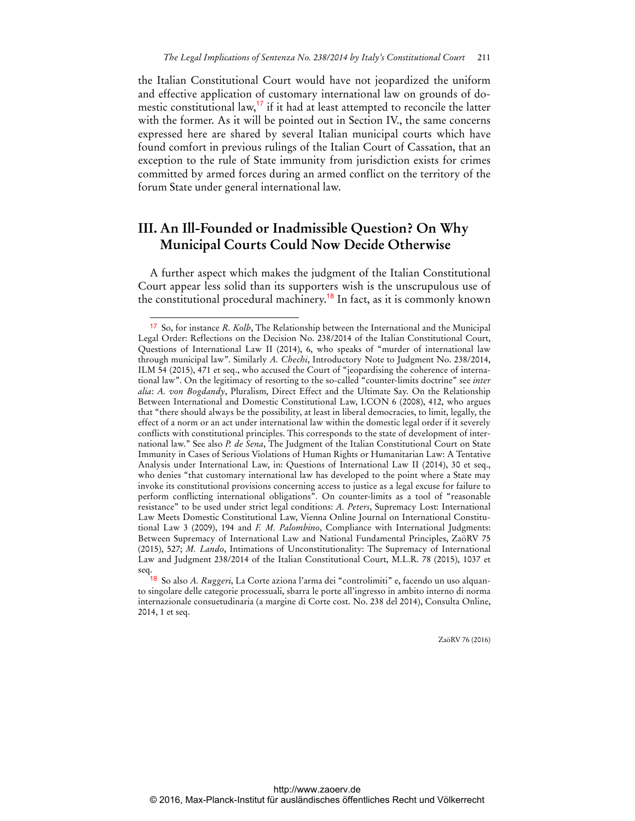the Italian Constitutional Court would have not jeopardized the uniform and effective application of customary international law on grounds of domestic constitutional law,<sup>17</sup> if it had at least attempted to reconcile the latter with the former. As it will be pointed out in Section IV., the same concerns expressed here are shared by several Italian municipal courts which have found comfort in previous rulings of the Italian Court of Cassation, that an exception to the rule of State immunity from jurisdiction exists for crimes committed by armed forces during an armed conflict on the territory of the forum State under general international law.

# **III. An Ill-Founded or Inadmissible Question? On Why Municipal Courts Could Now Decide Otherwise**

 $\overline{a}$ 

A further aspect which makes the judgment of the Italian Constitutional Court appear less solid than its supporters wish is the unscrupulous use of the constitutional procedural machinery.<sup>18</sup> In fact, as it is commonly known

<sup>17</sup> So, for instance *R. Kolb*, The Relationship between the International and the Municipal Legal Order: Reflections on the Decision No. 238/2014 of the Italian Constitutional Court, Questions of International Law II (2014), 6, who speaks of "murder of international law through municipal law". Similarly *A. Chechi*, Introductory Note to Judgment No. 238/2014, ILM 54 (2015), 471 et seq., who accused the Court of "jeopardising the coherence of international law". On the legitimacy of resorting to the so-called "counter-limits doctrine" see *inter alia*: *A. von Bogdandy*, Pluralism, Direct Effect and the Ultimate Say. On the Relationship Between International and Domestic Constitutional Law, I.CON 6 (2008), 412, who argues that "there should always be the possibility, at least in liberal democracies, to limit, legally, the effect of a norm or an act under international law within the domestic legal order if it severely conflicts with constitutional principles. This corresponds to the state of development of international law." See also *P. de Sena*, The Judgment of the Italian Constitutional Court on State Immunity in Cases of Serious Violations of Human Rights or Humanitarian Law: A Tentative Analysis under International Law, in: Questions of International Law II (2014), 30 et seq., who denies "that customary international law has developed to the point where a State may invoke its constitutional provisions concerning access to justice as a legal excuse for failure to perform conflicting international obligations". On counter-limits as a tool of "reasonable resistance" to be used under strict legal conditions: *A. Peters*, Supremacy Lost: International Law Meets Domestic Constitutional Law, Vienna Online Journal on International Constitutional Law 3 (2009), 194 and *F. M. Palombino*, Compliance with International Judgments: Between Supremacy of International Law and National Fundamental Principles, ZaöRV 75 (2015), 527; *M. Lando*, Intimations of Unconstitutionality: The Supremacy of International Law and Judgment 238/2014 of the Italian Constitutional Court, M.L.R. 78 (2015), 1037 et seq.

<sup>18</sup> So also *A. Ruggeri*, La Corte aziona l'arma dei "controlimiti" e, facendo un uso alquanto singolare delle categorie processuali, sbarra le porte all'ingresso in ambito interno di norma internazionale consuetudinaria (a margine di Corte cost. No. 238 del 2014), Consulta Online, 2014, 1 et seq.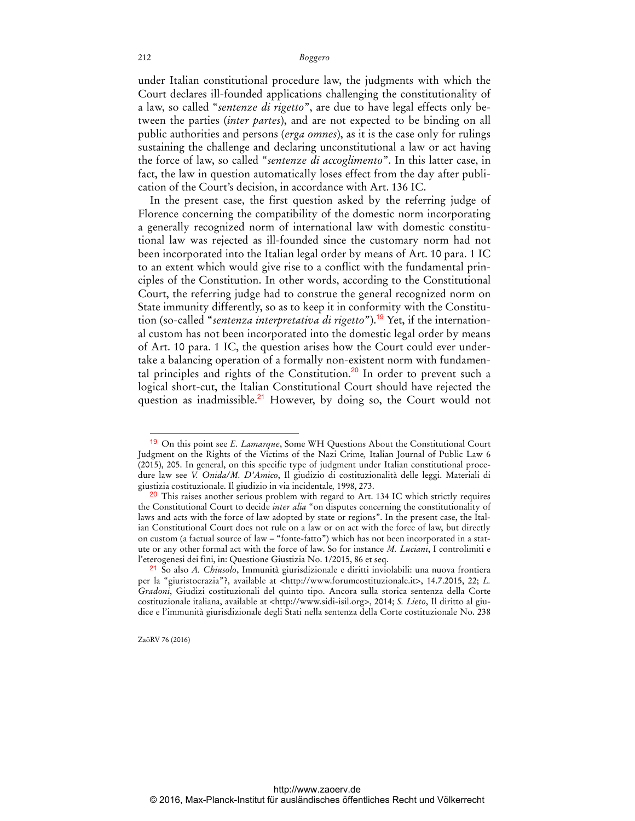under Italian constitutional procedure law, the judgments with which the Court declares ill-founded applications challenging the constitutionality of a law, so called "*sentenze di rigetto*", are due to have legal effects only between the parties (*inter partes*), and are not expected to be binding on all public authorities and persons (*erga omnes*), as it is the case only for rulings sustaining the challenge and declaring unconstitutional a law or act having the force of law, so called "*sentenze di accoglimento*". In this latter case, in fact, the law in question automatically loses effect from the day after publication of the Court's decision, in accordance with Art. 136 IC.

In the present case, the first question asked by the referring judge of Florence concerning the compatibility of the domestic norm incorporating a generally recognized norm of international law with domestic constitutional law was rejected as ill-founded since the customary norm had not been incorporated into the Italian legal order by means of Art. 10 para. 1 IC to an extent which would give rise to a conflict with the fundamental principles of the Constitution. In other words, according to the Constitutional Court, the referring judge had to construe the general recognized norm on State immunity differently, so as to keep it in conformity with the Constitution (so-called "*sentenza interpretativa di rigetto*").19 Yet, if the international custom has not been incorporated into the domestic legal order by means of Art. 10 para. 1 IC, the question arises how the Court could ever undertake a balancing operation of a formally non-existent norm with fundamental principles and rights of the Constitution.<sup>20</sup> In order to prevent such a logical short-cut, the Italian Constitutional Court should have rejected the question as inadmissible.<sup>21</sup> However, by doing so, the Court would not

ZaöRV 76 (2016)

 $\ddot{ }$ 

<sup>19</sup> On this point see *E. Lamarque*, Some WH Questions About the Constitutional Court Judgment on the Rights of the Victims of the Nazi Crime*,* Italian Journal of Public Law 6 (2015), 205. In general, on this specific type of judgment under Italian constitutional procedure law see *V. Onida/M. D'Amico*, Il giudizio di costituzionalità delle leggi. Materiali di giustizia costituzionale. Il giudizio in via incidentale*,* 1998, 273.

<sup>&</sup>lt;sup>20</sup> This raises another serious problem with regard to Art. 134 IC which strictly requires the Constitutional Court to decide *inter alia* "on disputes concerning the constitutionality of laws and acts with the force of law adopted by state or regions". In the present case, the Italian Constitutional Court does not rule on a law or on act with the force of law, but directly on custom (a factual source of law – "fonte-fatto") which has not been incorporated in a statute or any other formal act with the force of law. So for instance *M. Luciani*, I controlimiti e l'eterogenesi dei fini, in: Questione Giustizia No. 1/2015, 86 et seq.

<sup>21</sup> So also *A. Chiusolo*, Immunità giurisdizionale e diritti inviolabili: una nuova frontiera per la "giuristocrazia"?, available at [<http://www.forumcostituzionale.it>, 14](http://www.forumcostituzionale.it).7.2015, 22; *L. Gradoni*, Giudizi costituzionali del quinto tipo. Ancora sulla storica sentenza della Corte costituzionale italiana, available at [<http://www.sidi-isil.org>, 20](http://www.sidi-isil.org)14; *S. Lieto*, Il diritto al giudice e l'immunità giurisdizionale degli Stati nella sentenza della Corte costituzionale No. 238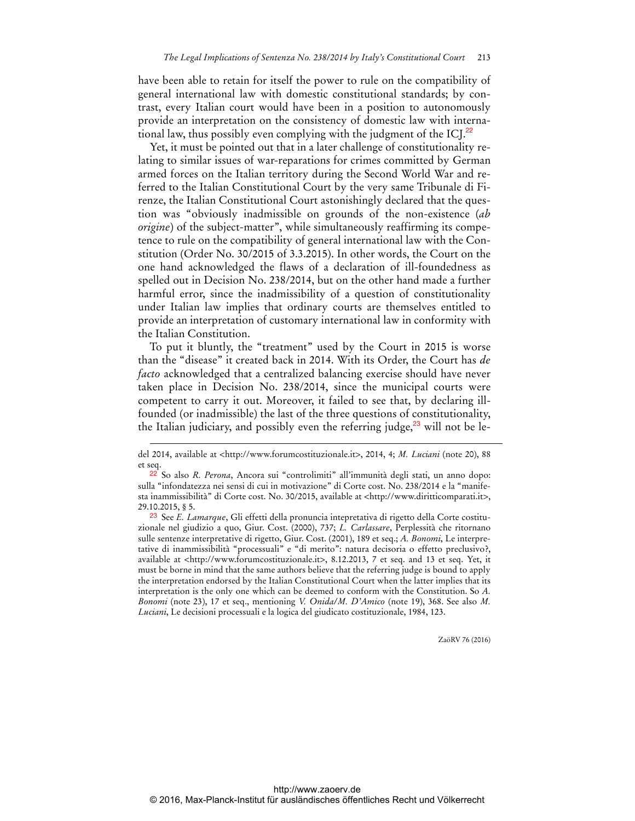have been able to retain for itself the power to rule on the compatibility of general international law with domestic constitutional standards; by contrast, every Italian court would have been in a position to autonomously provide an interpretation on the consistency of domestic law with international law, thus possibly even complying with the judgment of the  $ICI<sup>22</sup>$ 

Yet, it must be pointed out that in a later challenge of constitutionality relating to similar issues of war-reparations for crimes committed by German armed forces on the Italian territory during the Second World War and referred to the Italian Constitutional Court by the very same Tribunale di Firenze, the Italian Constitutional Court astonishingly declared that the question was "obviously inadmissible on grounds of the non-existence (*ab origine*) of the subject-matter", while simultaneously reaffirming its competence to rule on the compatibility of general international law with the Constitution (Order No. 30/2015 of 3.3.2015). In other words, the Court on the one hand acknowledged the flaws of a declaration of ill-foundedness as spelled out in Decision No. 238/2014, but on the other hand made a further harmful error, since the inadmissibility of a question of constitutionality under Italian law implies that ordinary courts are themselves entitled to provide an interpretation of customary international law in conformity with the Italian Constitution.

To put it bluntly, the "treatment" used by the Court in 2015 is worse than the "disease" it created back in 2014. With its Order, the Court has *de facto* acknowledged that a centralized balancing exercise should have never taken place in Decision No. 238/2014, since the municipal courts were competent to carry it out. Moreover, it failed to see that, by declaring illfounded (or inadmissible) the last of the three questions of constitutionality, the Italian judiciary, and possibly even the referring judge, $^{23}$  will not be le-

 $\overline{a}$ 

del 2014, available at <[http://www.forumcostituzionale.it>, 20](http://www.forumcostituzionale.it)14, 4; *M. Luciani* (note 20), 88 et seq.

<sup>22</sup> So also *R. Perona*, Ancora sui "controlimiti" all'immunità degli stati, un anno dopo: sulla "infondatezza nei sensi di cui in motivazione" di Corte cost. No. 238/2014 e la "manifesta inammissibilità" di Corte cost. No. 30/2015, available at [<http://www.diritticomparati.it>,](http://www.diritticomparati.it)  29.10.2015, § 5.

<sup>23</sup> See *E. Lamarque*, Gli effetti della pronuncia intepretativa di rigetto della Corte costituzionale nel giudizio a quo, Giur. Cost. (2000), 737; *L. Carlassare*, Perplessità che ritornano sulle sentenze interpretative di rigetto, Giur. Cost. (2001), 189 et seq.; *A. Bonomi*, Le interpretative di inammissibilità "processuali" e "di merito": natura decisoria o effetto preclusivo?, available at <[http://www.forumcostituzionale.it>, 8.](http://www.forumcostituzionale.it)12.2013, 7 et seq. and 13 et seq. Yet, it must be borne in mind that the same authors believe that the referring judge is bound to apply the interpretation endorsed by the Italian Constitutional Court when the latter implies that its interpretation is the only one which can be deemed to conform with the Constitution. So *A. Bonomi* (note 23), 17 et seq., mentioning *V. Onida/M. D'Amico* (note 19), 368. See also *M. Luciani*, Le decisioni processuali e la logica del giudicato costituzionale, 1984, 123.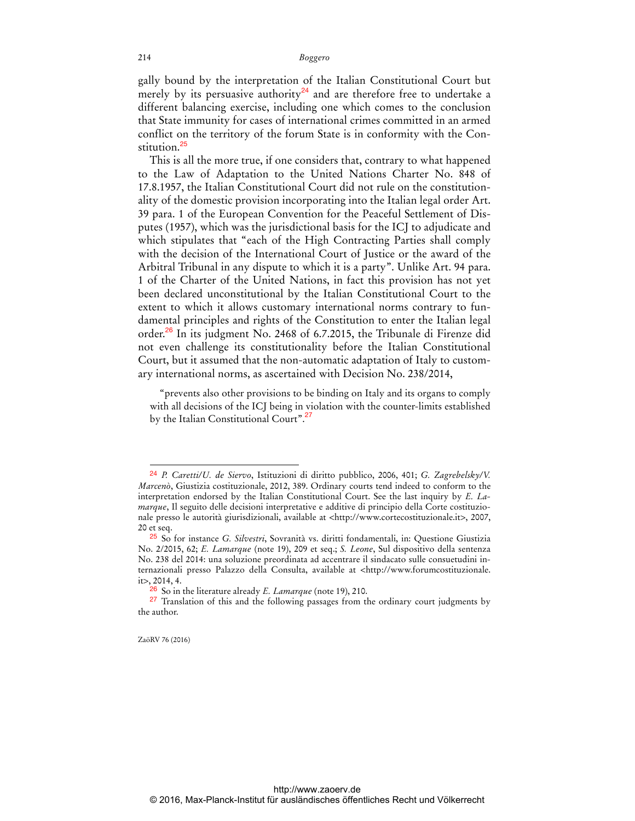gally bound by the interpretation of the Italian Constitutional Court but merely by its persuasive authority<sup>24</sup> and are therefore free to undertake a different balancing exercise, including one which comes to the conclusion that State immunity for cases of international crimes committed in an armed conflict on the territory of the forum State is in conformity with the Constitution.<sup>25</sup>

This is all the more true, if one considers that, contrary to what happened to the Law of Adaptation to the United Nations Charter No. 848 of 17.8.1957, the Italian Constitutional Court did not rule on the constitutionality of the domestic provision incorporating into the Italian legal order Art. 39 para. 1 of the European Convention for the Peaceful Settlement of Disputes (1957), which was the jurisdictional basis for the ICJ to adjudicate and which stipulates that "each of the High Contracting Parties shall comply with the decision of the International Court of Justice or the award of the Arbitral Tribunal in any dispute to which it is a party". Unlike Art. 94 para. 1 of the Charter of the United Nations, in fact this provision has not yet been declared unconstitutional by the Italian Constitutional Court to the extent to which it allows customary international norms contrary to fundamental principles and rights of the Constitution to enter the Italian legal order.<sup>26</sup> In its judgment No. 2468 of 6.7.2015, the Tribunale di Firenze did not even challenge its constitutionality before the Italian Constitutional Court, but it assumed that the non-automatic adaptation of Italy to customary international norms, as ascertained with Decision No. 238/2014,

"prevents also other provisions to be binding on Italy and its organs to comply with all decisions of the ICJ being in violation with the counter-limits established by the Italian Constitutional Court".<sup>27</sup>

ZaöRV 76 (2016)

<sup>24</sup> *P. Caretti/U. de Siervo*, Istituzioni di diritto pubblico, 2006, 401; *G. Zagrebelsky/V. Marcenò*, Giustizia costituzionale, 2012, 389. Ordinary courts tend indeed to conform to the interpretation endorsed by the Italian Constitutional Court. See the last inquiry by *E. Lamarque*, Il seguito delle decisioni interpretative e additive di principio della Corte costituzionale presso le autorità giurisdizionali, available at <[http://www.cortecostituzionale.it>, 20](http://www.cortecostituzionale.it)07, 20 et seq.

<sup>25</sup> So for instance *G. Silvestri*, Sovranità vs. diritti fondamentali, in: Questione Giustizia No. 2/2015, 62; *E. Lamarque* (note 19), 209 et seq.; *S. Leone*, Sul dispositivo della sentenza No. 238 del 2014: una soluzione preordinata ad accentrare il sindacato sulle consuetudini internazionali presso Palazzo della Consulta, available at <[http://www.forumcostituzionale.](http://www.forumcostituzionale.it)  [it>, 20](http://www.forumcostituzionale.it)14, 4.

<sup>26</sup> So in the literature already *E. Lamarque* (note 19), 210.

<sup>&</sup>lt;sup>27</sup> Translation of this and the following passages from the ordinary court judgments by the author.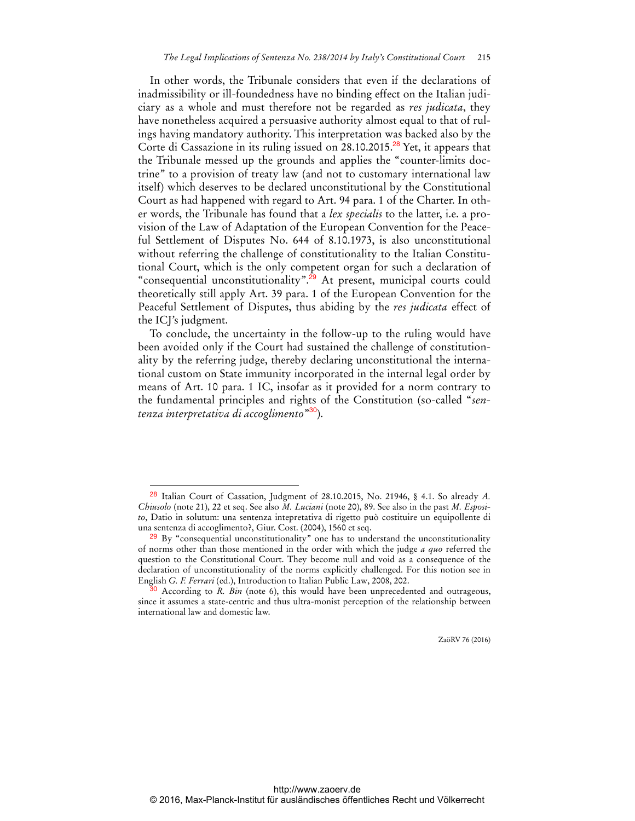In other words, the Tribunale considers that even if the declarations of inadmissibility or ill-foundedness have no binding effect on the Italian judiciary as a whole and must therefore not be regarded as *res judicata*, they have nonetheless acquired a persuasive authority almost equal to that of rulings having mandatory authority. This interpretation was backed also by the Corte di Cassazione in its ruling issued on 28.10.2015.<sup>28</sup> Yet, it appears that the Tribunale messed up the grounds and applies the "counter-limits doctrine" to a provision of treaty law (and not to customary international law itself) which deserves to be declared unconstitutional by the Constitutional Court as had happened with regard to Art. 94 para. 1 of the Charter. In other words, the Tribunale has found that a *lex specialis* to the latter, i.e. a provision of the Law of Adaptation of the European Convention for the Peaceful Settlement of Disputes No. 644 of 8.10.1973, is also unconstitutional without referring the challenge of constitutionality to the Italian Constitutional Court, which is the only competent organ for such a declaration of "consequential unconstitutionality".<sup>29</sup> At present, municipal courts could theoretically still apply Art. 39 para. 1 of the European Convention for the Peaceful Settlement of Disputes, thus abiding by the *res judicata* effect of the ICJ's judgment.

To conclude, the uncertainty in the follow-up to the ruling would have been avoided only if the Court had sustained the challenge of constitutionality by the referring judge, thereby declaring unconstitutional the international custom on State immunity incorporated in the internal legal order by means of Art. 10 para. 1 IC, insofar as it provided for a norm contrary to the fundamental principles and rights of the Constitution (so-called "*sentenza interpretativa di accoglimento*"<sup>30</sup>).

 $\overline{a}$ 

<sup>28</sup> Italian Court of Cassation, Judgment of 28.10.2015, No. 21946, § 4.1. So already *A. Chiusolo* (note 21), 22 et seq. See also *M. Luciani* (note 20), 89. See also in the past *M. Esposito*, Datio in solutum: una sentenza intepretativa di rigetto può costituire un equipollente di una sentenza di accoglimento?, Giur. Cost. (2004), 1560 et seq.

<sup>29</sup> By "consequential unconstitutionality" one has to understand the unconstitutionality of norms other than those mentioned in the order with which the judge *a quo* referred the question to the Constitutional Court. They become null and void as a consequence of the declaration of unconstitutionality of the norms explicitly challenged. For this notion see in English *G. F. Ferrari* (ed.), Introduction to Italian Public Law, 2008, 202.

<sup>30</sup> According to *R. Bin* (note 6), this would have been unprecedented and outrageous, since it assumes a state-centric and thus ultra-monist perception of the relationship between international law and domestic law.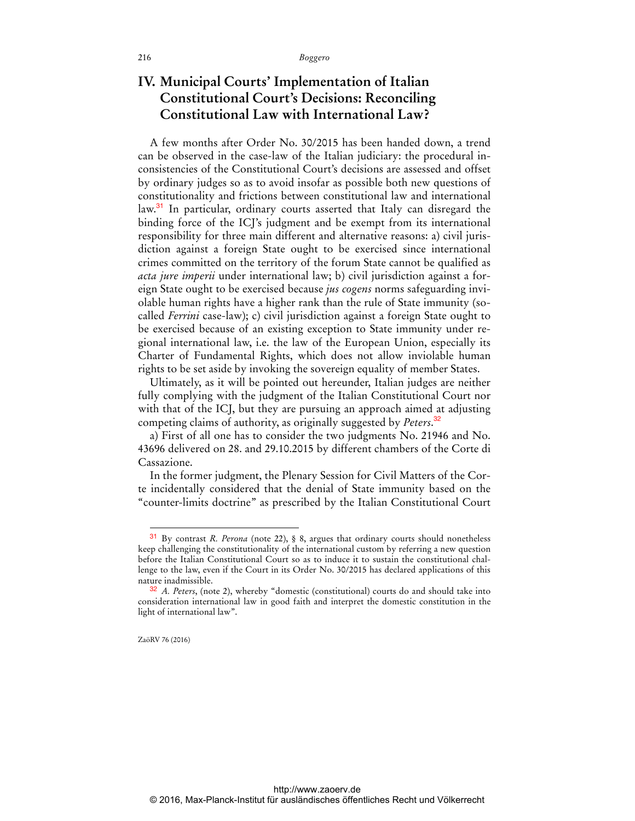# **IV. Municipal Courts' Implementation of Italian Constitutional Court's Decisions: Reconciling Constitutional Law with International Law?**

A few months after Order No. 30/2015 has been handed down, a trend can be observed in the case-law of the Italian judiciary: the procedural inconsistencies of the Constitutional Court's decisions are assessed and offset by ordinary judges so as to avoid insofar as possible both new questions of constitutionality and frictions between constitutional law and international law.<sup>31</sup> In particular, ordinary courts asserted that Italy can disregard the binding force of the ICJ's judgment and be exempt from its international responsibility for three main different and alternative reasons: a) civil jurisdiction against a foreign State ought to be exercised since international crimes committed on the territory of the forum State cannot be qualified as *acta jure imperii* under international law; b) civil jurisdiction against a foreign State ought to be exercised because *jus cogens* norms safeguarding inviolable human rights have a higher rank than the rule of State immunity (socalled *Ferrini* case-law); c) civil jurisdiction against a foreign State ought to be exercised because of an existing exception to State immunity under regional international law, i.e. the law of the European Union, especially its Charter of Fundamental Rights, which does not allow inviolable human rights to be set aside by invoking the sovereign equality of member States.

Ultimately, as it will be pointed out hereunder, Italian judges are neither fully complying with the judgment of the Italian Constitutional Court nor with that of the ICJ, but they are pursuing an approach aimed at adjusting competing claims of authority, as originally suggested by *Peters*. 32

a) First of all one has to consider the two judgments No. 21946 and No. 43696 delivered on 28. and 29.10.2015 by different chambers of the Corte di Cassazione.

In the former judgment, the Plenary Session for Civil Matters of the Corte incidentally considered that the denial of State immunity based on the "counter-limits doctrine" as prescribed by the Italian Constitutional Court

<sup>31</sup> By contrast *R. Perona* (note 22), § 8, argues that ordinary courts should nonetheless keep challenging the constitutionality of the international custom by referring a new question before the Italian Constitutional Court so as to induce it to sustain the constitutional challenge to the law, even if the Court in its Order No. 30/2015 has declared applications of this nature inadmissible.

<sup>32</sup> *A. Peters*, (note 2), whereby "domestic (constitutional) courts do and should take into consideration international law in good faith and interpret the domestic constitution in the light of international law".

ZaöRV 76 (2016)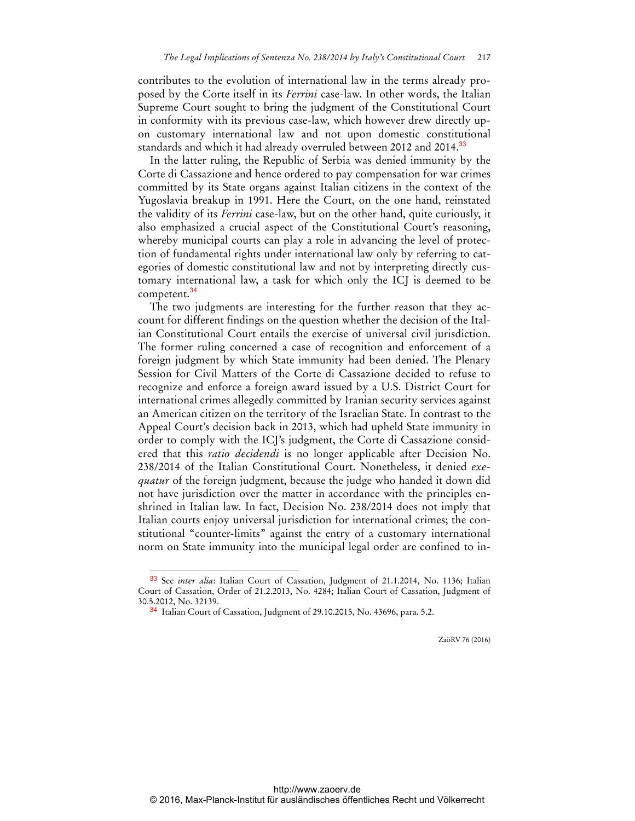contributes to the evolution of international law in the terms already proposed by the Corte itself in its *Ferrini* case-law. In other words, the Italian Supreme Court sought to bring the judgment of the Constitutional Court in conformity with its previous case-law, which however drew directly upon customary international law and not upon domestic constitutional standards and which it had already overruled between 2012 and 2014.<sup>33</sup>

In the latter ruling, the Republic of Serbia was denied immunity by the Corte di Cassazione and hence ordered to pay compensation for war crimes committed by its State organs against Italian citizens in the context of the Yugoslavia breakup in 1991. Here the Court, on the one hand, reinstated the validity of its *Ferrini* case-law, but on the other hand, quite curiously, it also emphasized a crucial aspect of the Constitutional Court's reasoning, whereby municipal courts can play a role in advancing the level of protection of fundamental rights under international law only by referring to categories of domestic constitutional law and not by interpreting directly customary international law, a task for which only the ICJ is deemed to be competent.<sup>34</sup>

The two judgments are interesting for the further reason that they account for different findings on the question whether the decision of the Italian Constitutional Court entails the exercise of universal civil jurisdiction. The former ruling concerned a case of recognition and enforcement of a foreign judgment by which State immunity had been denied. The Plenary Session for Civil Matters of the Corte di Cassazione decided to refuse to recognize and enforce a foreign award issued by a U.S. District Court for international crimes allegedly committed by Iranian security services against an American citizen on the territory of the Israelian State. In contrast to the Appeal Court's decision back in 2013, which had upheld State immunity in order to comply with the ICJ's judgment, the Corte di Cassazione considered that this *ratio decidendi* is no longer applicable after Decision No. 238/2014 of the Italian Constitutional Court. Nonetheless, it denied *exequatur* of the foreign judgment, because the judge who handed it down did not have jurisdiction over the matter in accordance with the principles enshrined in Italian law. In fact, Decision No. 238/2014 does not imply that Italian courts enjoy universal jurisdiction for international crimes; the constitutional "counter-limits" against the entry of a customary international norm on State immunity into the municipal legal order are confined to in-

 $\overline{a}$ 

<sup>33</sup> See *inter alia*: Italian Court of Cassation, Judgment of 21.1.2014, No. 1136; Italian Court of Cassation, Order of 21.2.2013, No. 4284; Italian Court of Cassation, Judgment of 30.5.2012, No. 32139.

<sup>34</sup> Italian Court of Cassation, Judgment of 29.10.2015, No. 43696, para. 5.2.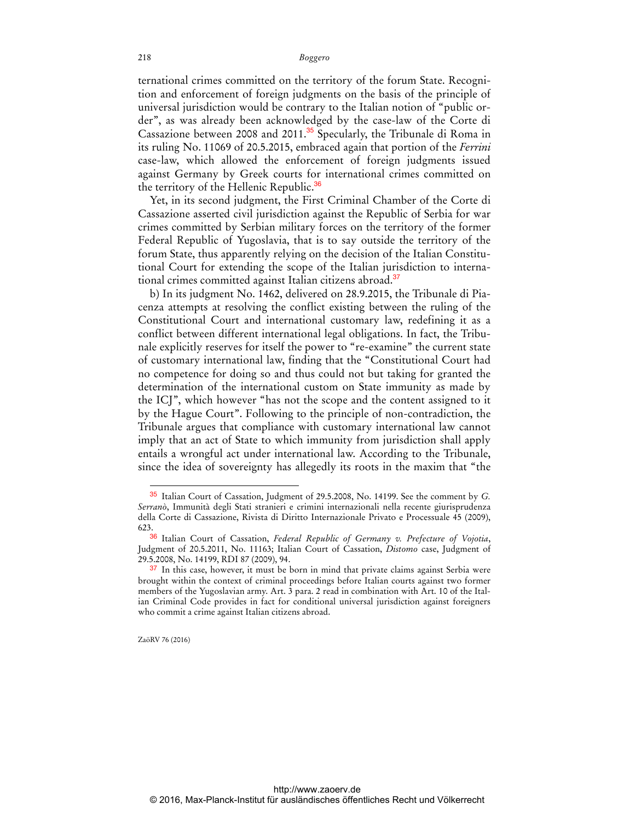ternational crimes committed on the territory of the forum State. Recognition and enforcement of foreign judgments on the basis of the principle of universal jurisdiction would be contrary to the Italian notion of "public order", as was already been acknowledged by the case-law of the Corte di Cassazione between 2008 and 2011.<sup>35</sup> Specularly, the Tribunale di Roma in its ruling No. 11069 of 20.5.2015, embraced again that portion of the *Ferrini*  case-law, which allowed the enforcement of foreign judgments issued against Germany by Greek courts for international crimes committed on the territory of the Hellenic Republic.<sup>36</sup>

Yet, in its second judgment, the First Criminal Chamber of the Corte di Cassazione asserted civil jurisdiction against the Republic of Serbia for war crimes committed by Serbian military forces on the territory of the former Federal Republic of Yugoslavia, that is to say outside the territory of the forum State, thus apparently relying on the decision of the Italian Constitutional Court for extending the scope of the Italian jurisdiction to international crimes committed against Italian citizens abroad.<sup>37</sup>

b) In its judgment No. 1462, delivered on 28.9.2015, the Tribunale di Piacenza attempts at resolving the conflict existing between the ruling of the Constitutional Court and international customary law, redefining it as a conflict between different international legal obligations. In fact, the Tribunale explicitly reserves for itself the power to "re-examine" the current state of customary international law, finding that the "Constitutional Court had no competence for doing so and thus could not but taking for granted the determination of the international custom on State immunity as made by the ICJ", which however "has not the scope and the content assigned to it by the Hague Court". Following to the principle of non-contradiction, the Tribunale argues that compliance with customary international law cannot imply that an act of State to which immunity from jurisdiction shall apply entails a wrongful act under international law. According to the Tribunale, since the idea of sovereignty has allegedly its roots in the maxim that "the

ZaöRV 76 (2016)

<sup>35</sup> Italian Court of Cassation, Judgment of 29.5.2008, No. 14199. See the comment by *G. Serranò*, Immunità degli Stati stranieri e crimini internazionali nella recente giurisprudenza della Corte di Cassazione, Rivista di Diritto Internazionale Privato e Processuale 45 (2009), 623.

<sup>36</sup> Italian Court of Cassation, *Federal Republic of Germany v. Prefecture of Vojotia*, Judgment of 20.5.2011, No. 11163; Italian Court of Cassation, *Distomo* case, Judgment of 29.5.2008, No. 14199, RDI 87 (2009), 94.

<sup>&</sup>lt;sup>37</sup> In this case, however, it must be born in mind that private claims against Serbia were brought within the context of criminal proceedings before Italian courts against two former members of the Yugoslavian army. Art. 3 para. 2 read in combination with Art. 10 of the Italian Criminal Code provides in fact for conditional universal jurisdiction against foreigners who commit a crime against Italian citizens abroad.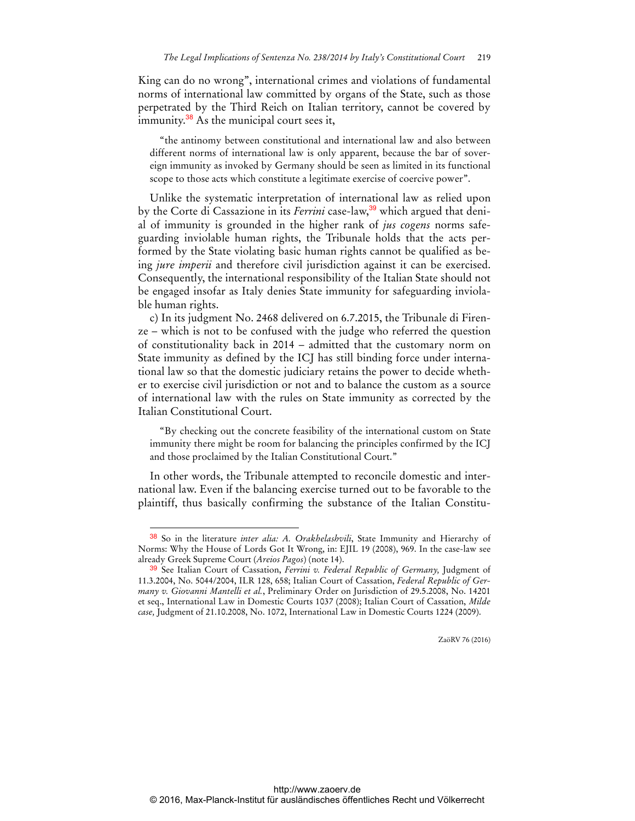King can do no wrong", international crimes and violations of fundamental norms of international law committed by organs of the State, such as those perpetrated by the Third Reich on Italian territory, cannot be covered by immunity.<sup>38</sup> As the municipal court sees it,

"the antinomy between constitutional and international law and also between different norms of international law is only apparent, because the bar of sovereign immunity as invoked by Germany should be seen as limited in its functional scope to those acts which constitute a legitimate exercise of coercive power".

Unlike the systematic interpretation of international law as relied upon by the Corte di Cassazione in its *Ferrini* case-law,<sup>39</sup> which argued that denial of immunity is grounded in the higher rank of *jus cogens* norms safeguarding inviolable human rights, the Tribunale holds that the acts performed by the State violating basic human rights cannot be qualified as being *jure imperii* and therefore civil jurisdiction against it can be exercised. Consequently, the international responsibility of the Italian State should not be engaged insofar as Italy denies State immunity for safeguarding inviolable human rights.

c) In its judgment No. 2468 delivered on 6.7.2015, the Tribunale di Firenze – which is not to be confused with the judge who referred the question of constitutionality back in 2014 – admitted that the customary norm on State immunity as defined by the ICJ has still binding force under international law so that the domestic judiciary retains the power to decide whether to exercise civil jurisdiction or not and to balance the custom as a source of international law with the rules on State immunity as corrected by the Italian Constitutional Court.

"By checking out the concrete feasibility of the international custom on State immunity there might be room for balancing the principles confirmed by the ICJ and those proclaimed by the Italian Constitutional Court."

In other words, the Tribunale attempted to reconcile domestic and international law. Even if the balancing exercise turned out to be favorable to the plaintiff, thus basically confirming the substance of the Italian Constitu-

 $\overline{a}$ 

<sup>38</sup> So in the literature *inter alia: A. Orakhelashvili*, State Immunity and Hierarchy of Norms: Why the House of Lords Got It Wrong, in: EJIL 19 (2008), 969. In the case-law see already Greek Supreme Court (*Areios Pagos*) (note 14).

<sup>39</sup> See Italian Court of Cassation, *Ferrini v. Federal Republic of Germany,* Judgment of 11.3.2004, No. 5044/2004, ILR 128, 658; Italian Court of Cassation, *Federal Republic of Germany v. Giovanni Mantelli et al.*, Preliminary Order on Jurisdiction of 29.5.2008, No. 14201 et seq., International Law in Domestic Courts 1037 (2008); Italian Court of Cassation, *Milde case,* Judgment of 21.10.2008, No. 1072, International Law in Domestic Courts 1224 (2009).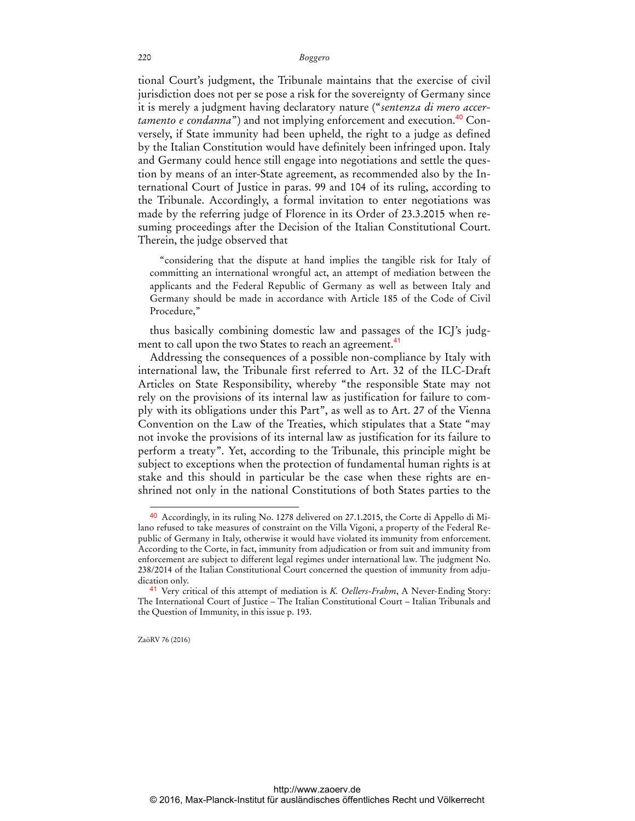tional Court's judgment, the Tribunale maintains that the exercise of civil jurisdiction does not per se pose a risk for the sovereignty of Germany since it is merely a judgment having declaratory nature ("*sentenza di mero accertamento e condanna*") and not implying enforcement and execution.<sup>40</sup> Conversely, if State immunity had been upheld, the right to a judge as defined by the Italian Constitution would have definitely been infringed upon. Italy and Germany could hence still engage into negotiations and settle the question by means of an inter-State agreement, as recommended also by the International Court of Justice in paras. 99 and 104 of its ruling, according to the Tribunale. Accordingly, a formal invitation to enter negotiations was made by the referring judge of Florence in its Order of 23.3.2015 when resuming proceedings after the Decision of the Italian Constitutional Court. Therein, the judge observed that

"considering that the dispute at hand implies the tangible risk for Italy of committing an international wrongful act, an attempt of mediation between the applicants and the Federal Republic of Germany as well as between Italy and Germany should be made in accordance with Article 185 of the Code of Civil Procedure,"

thus basically combining domestic law and passages of the ICJ's judgment to call upon the two States to reach an agreement.<sup>41</sup>

Addressing the consequences of a possible non-compliance by Italy with international law, the Tribunale first referred to Art. 32 of the ILC-Draft Articles on State Responsibility, whereby "the responsible State may not rely on the provisions of its internal law as justification for failure to comply with its obligations under this Part", as well as to Art. 27 of the Vienna Convention on the Law of the Treaties, which stipulates that a State "may not invoke the provisions of its internal law as justification for its failure to perform a treaty". Yet, according to the Tribunale, this principle might be subject to exceptions when the protection of fundamental human rights is at stake and this should in particular be the case when these rights are enshrined not only in the national Constitutions of both States parties to the

ZaöRV 76 (2016)

<sup>40</sup> Accordingly, in its ruling No. 1278 delivered on 27.1.2015, the Corte di Appello di Milano refused to take measures of constraint on the Villa Vigoni, a property of the Federal Republic of Germany in Italy, otherwise it would have violated its immunity from enforcement. According to the Corte, in fact, immunity from adjudication or from suit and immunity from enforcement are subject to different legal regimes under international law. The judgment No. 238/2014 of the Italian Constitutional Court concerned the question of immunity from adjudication only.

<sup>41</sup> Very critical of this attempt of mediation is *K. Oellers-Frahm*, A Never-Ending Story: The International Court of Justice – The Italian Constitutional Court – Italian Tribunals and the Question of Immunity, in this issue p. 193.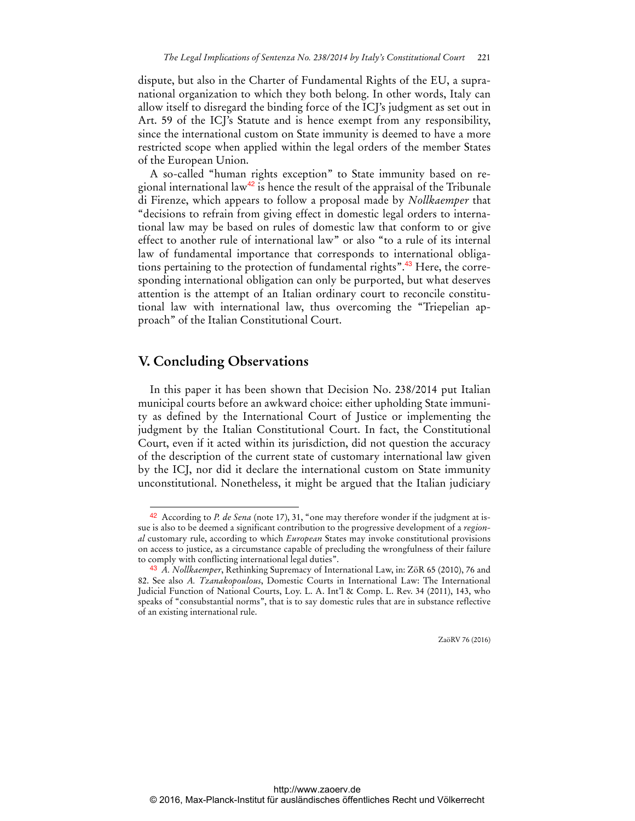dispute, but also in the Charter of Fundamental Rights of the EU, a supranational organization to which they both belong. In other words, Italy can allow itself to disregard the binding force of the ICJ's judgment as set out in Art. 59 of the ICJ's Statute and is hence exempt from any responsibility, since the international custom on State immunity is deemed to have a more restricted scope when applied within the legal orders of the member States of the European Union.

A so-called "human rights exception" to State immunity based on regional international law<sup>42</sup> is hence the result of the appraisal of the Tribunale di Firenze, which appears to follow a proposal made by *Nollkaemper* that "decisions to refrain from giving effect in domestic legal orders to international law may be based on rules of domestic law that conform to or give effect to another rule of international law" or also "to a rule of its internal law of fundamental importance that corresponds to international obligations pertaining to the protection of fundamental rights".<sup>43</sup> Here, the corresponding international obligation can only be purported, but what deserves attention is the attempt of an Italian ordinary court to reconcile constitutional law with international law, thus overcoming the "Triepelian approach" of the Italian Constitutional Court.

### **V. Concluding Observations**

 $\overline{a}$ 

In this paper it has been shown that Decision No. 238/2014 put Italian municipal courts before an awkward choice: either upholding State immunity as defined by the International Court of Justice or implementing the judgment by the Italian Constitutional Court. In fact, the Constitutional Court, even if it acted within its jurisdiction, did not question the accuracy of the description of the current state of customary international law given by the ICJ, nor did it declare the international custom on State immunity unconstitutional. Nonetheless, it might be argued that the Italian judiciary

<sup>42</sup> According to *P. de Sena* (note 17), 31, "one may therefore wonder if the judgment at issue is also to be deemed a significant contribution to the progressive development of a *regional* customary rule, according to which *European* States may invoke constitutional provisions on access to justice, as a circumstance capable of precluding the wrongfulness of their failure to comply with conflicting international legal duties".

<sup>43</sup> *A. Nollkaemper*, Rethinking Supremacy of International Law, in: ZöR 65 (2010), 76 and 82. See also *A. Tzanakopoulous*, Domestic Courts in International Law: The International Judicial Function of National Courts, Loy. L. A. Int'l & Comp. L. Rev. 34 (2011), 143, who speaks of "consubstantial norms", that is to say domestic rules that are in substance reflective of an existing international rule.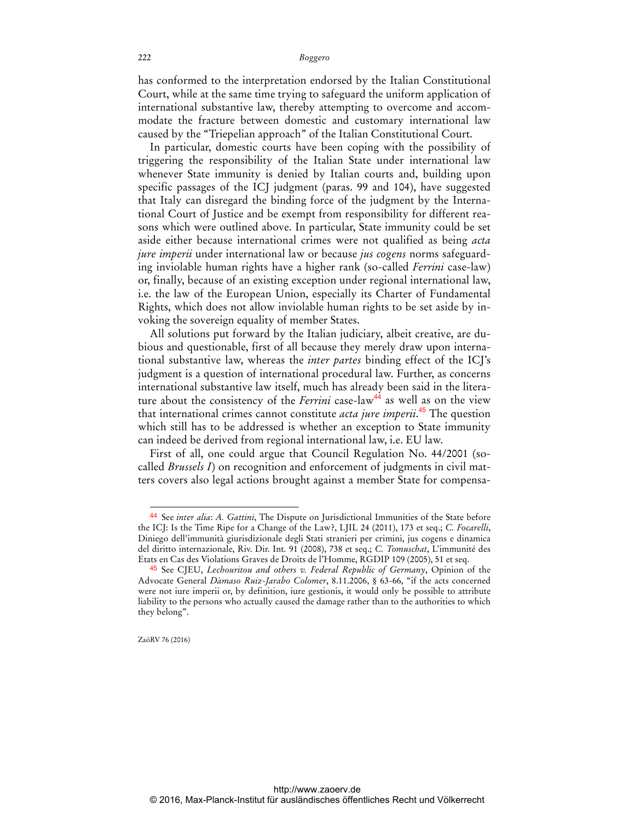has conformed to the interpretation endorsed by the Italian Constitutional Court, while at the same time trying to safeguard the uniform application of international substantive law, thereby attempting to overcome and accommodate the fracture between domestic and customary international law caused by the "Triepelian approach" of the Italian Constitutional Court.

In particular, domestic courts have been coping with the possibility of triggering the responsibility of the Italian State under international law whenever State immunity is denied by Italian courts and, building upon specific passages of the ICJ judgment (paras. 99 and 104), have suggested that Italy can disregard the binding force of the judgment by the International Court of Justice and be exempt from responsibility for different reasons which were outlined above. In particular, State immunity could be set aside either because international crimes were not qualified as being *acta jure imperii* under international law or because *jus cogens* norms safeguarding inviolable human rights have a higher rank (so-called *Ferrini* case-law) or, finally, because of an existing exception under regional international law, i.e. the law of the European Union, especially its Charter of Fundamental Rights, which does not allow inviolable human rights to be set aside by invoking the sovereign equality of member States.

All solutions put forward by the Italian judiciary, albeit creative, are dubious and questionable, first of all because they merely draw upon international substantive law, whereas the *inter partes* binding effect of the ICJ's judgment is a question of international procedural law. Further, as concerns international substantive law itself, much has already been said in the literature about the consistency of the *Ferrini* case-law<sup>44</sup> as well as on the view that international crimes cannot constitute *acta jure imperii*. <sup>45</sup> The question which still has to be addressed is whether an exception to State immunity can indeed be derived from regional international law, i.e. EU law.

First of all, one could argue that Council Regulation No. 44/2001 (socalled *Brussels I*) on recognition and enforcement of judgments in civil matters covers also legal actions brought against a member State for compensa-

ZaöRV 76 (2016)

<sup>44</sup> See *inter alia*: *A. Gattini*, The Dispute on Jurisdictional Immunities of the State before the ICJ: Is the Time Ripe for a Change of the Law?, LJIL 24 (2011), 173 et seq.; *C. Focarelli*, Diniego dell'immunità giurisdizionale degli Stati stranieri per crimini, jus cogens e dinamica del diritto internazionale, Riv. Dir. Int. 91 (2008), 738 et seq.; *C. Tomuschat*, L'immunité des Etats en Cas des Violations Graves de Droits de l'Homme, RGDIP 109 (2005), 51 et seq.

<sup>45</sup> See CJEU, *Lechouritou and others v. Federal Republic of Germany*, Opinion of the Advocate General *Dàmaso Ruiz-Jarabo Colomer*, 8.11.2006, § 63-66, "if the acts concerned were not iure imperii or, by definition, iure gestionis, it would only be possible to attribute liability to the persons who actually caused the damage rather than to the authorities to which they belong".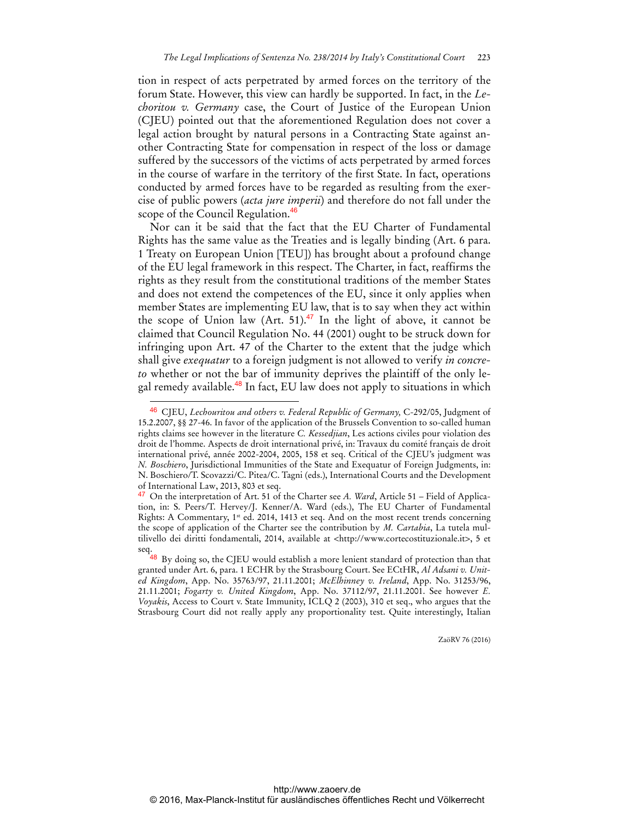tion in respect of acts perpetrated by armed forces on the territory of the forum State. However, this view can hardly be supported. In fact, in the *Lechoritou v. Germany* case, the Court of Justice of the European Union (CJEU) pointed out that the aforementioned Regulation does not cover a legal action brought by natural persons in a Contracting State against another Contracting State for compensation in respect of the loss or damage suffered by the successors of the victims of acts perpetrated by armed forces in the course of warfare in the territory of the first State. In fact, operations conducted by armed forces have to be regarded as resulting from the exercise of public powers (*acta jure imperii*) and therefore do not fall under the scope of the Council Regulation.<sup>46</sup>

Nor can it be said that the fact that the EU Charter of Fundamental Rights has the same value as the Treaties and is legally binding (Art. 6 para. 1 Treaty on European Union [TEU]) has brought about a profound change of the EU legal framework in this respect. The Charter, in fact, reaffirms the rights as they result from the constitutional traditions of the member States and does not extend the competences of the EU, since it only applies when member States are implementing EU law, that is to say when they act within the scope of Union law (Art. 51).<sup>47</sup> In the light of above, it cannot be claimed that Council Regulation No. 44 (2001) ought to be struck down for infringing upon Art. 47 of the Charter to the extent that the judge which shall give *exequatur* to a foreign judgment is not allowed to verify *in concreto* whether or not the bar of immunity deprives the plaintiff of the only legal remedy available.<sup>48</sup> In fact, EU law does not apply to situations in which

 $\overline{a}$ 

<sup>46</sup>CJEU, *Lechouritou and others v. Federal Republic of Germany,* C-292/05, Judgment of 15.2.2007, §§ 27-46. In favor of the application of the Brussels Convention to so-called human rights claims see however in the literature *C. Kessedjian*, Les actions civiles pour violation des droit de l'homme. Aspects de droit international privé, in: Travaux du comité français de droit international privé, année 2002-2004, 2005, 158 et seq. Critical of the CJEU's judgment was *N. Boschiero*, Jurisdictional Immunities of the State and Exequatur of Foreign Judgments, in: N. Boschiero/T. Scovazzi/C. Pitea/C. Tagni (eds.), International Courts and the Development of International Law, 2013, 803 et seq.

<sup>47</sup> On the interpretation of Art. 51 of the Charter see *A. Ward*, Article 51 – Field of Application, in: S. Peers/T. Hervey/J. Kenner/A. Ward (eds.), The EU Charter of Fundamental Rights: A Commentary, 1<sup>st</sup> ed. 2014, 1413 et seq. And on the most recent trends concerning the scope of application of the Charter see the contribution by *M. Cartabia*, La tutela multilivello dei diritti fondamentali, 2014, available at [<http://www.cortecostituzionale.it>, 5](http://www.cortecostituzionale.it) et seq.

 $48$  By doing so, the CJEU would establish a more lenient standard of protection than that granted under Art. 6, para. 1 ECHR by the Strasbourg Court. See ECtHR, *Al Adsani v. United Kingdom*, App. No. 35763/97, 21.11.2001; *McElhinney v. Ireland*, App. No. 31253/96, 21.11.2001; *Fogarty v. United Kingdom*, App. No. 37112/97, 21.11.2001. See however *E. Voyakis*, Access to Court v. State Immunity, ICLQ 2 (2003), 310 et seq., who argues that the Strasbourg Court did not really apply any proportionality test. Quite interestingly, Italian